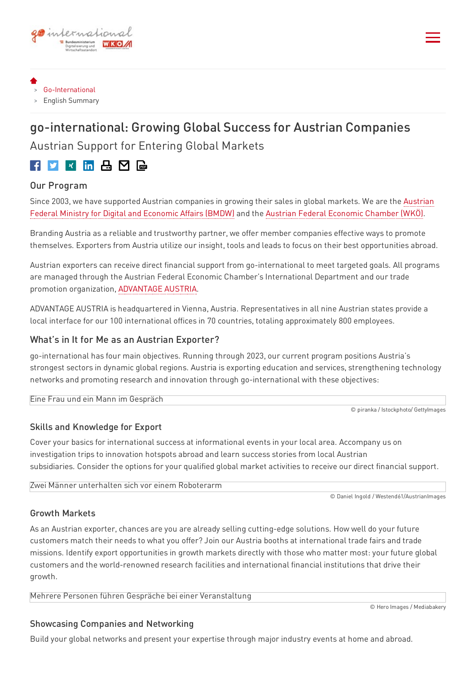

- [Go-International](http://localhost:8080/)
- > English Summary

# go-international: Growing Global Success for Austrian Companies Austrian Support for Entering Global Markets

## 

#### Our Program

Since 2003, we have supported Austrian [companies](https://www.bmdw.gv.at/en.html) in growing their sales in global markets. We are the Austrian Federal Ministry for Digital and Economic Affairs (BMDW) and the Austrian Federal [Economic](https://www.wko.at/service/Austrian-Economic-Chambers.html) Chamber (WKÖ).

Branding Austria as a reliable and trustworthy partner, we offer member companies effective ways to promote themselves. Exporters from Austria utilize our insight, tools and leads to focus on their best opportunities abroad.

Austrian exporters can receive direct financial support from go-international to meet targeted goals. All programs are managed through the Austrian Federal Economic Chamber's International Department and our trade promotion organization, [ADVANTAGE](https://www.wko.at/service/Austrian_Economic_Chambers_Our_Service_Providers.html) AUSTRIA.

ADVANTAGE AUSTRIA is headquartered in Vienna, Austria. Representatives in all nine Austrian states provide a local interface for our 100 international offices in 70 countries, totaling approximately 800 employees.

#### What's in It for Me as an Austrian Exporter?

go-international has four main objectives. Running through 2023, our current program positions Austria's strongest sectors in dynamic global regions. Austria is exporting education and services, strengthening technology networks and promoting research and innovation through go-international with these objectives:

Eine Frau und ein Mann im Gespräch

© piranka / Istockphoto/ GettyImages

## Skills and Knowledge for Export

Cover your basics for international success at informational events in your local area. Accompany us on investigation trips to innovation hotspots abroad and learn success stories from local Austrian subsidiaries. Consider the options for your qualified global market activities to receive our direct financial support.

Zwei Männer unterhalten sich vor einem Roboterarm

© Daniel Ingold / Westend61/AustrianImages

#### Growth Markets

As an Austrian exporter, chances are you are already selling cutting-edge solutions. How well do your future customers match their needs to what you offer? Join our Austria booths at international trade fairs and trade missions. Identify export opportunities in growth markets directly with those who matter most: your future global customers and the world-renowned research facilities and international financial institutions that drive their growth.

Mehrere Personen führen Gespräche bei einer Veranstaltung

© Hero Images / Mediabakery

## Showcasing Companies and Networking

Build your global networks and present your expertise through major industry events at home and abroad.